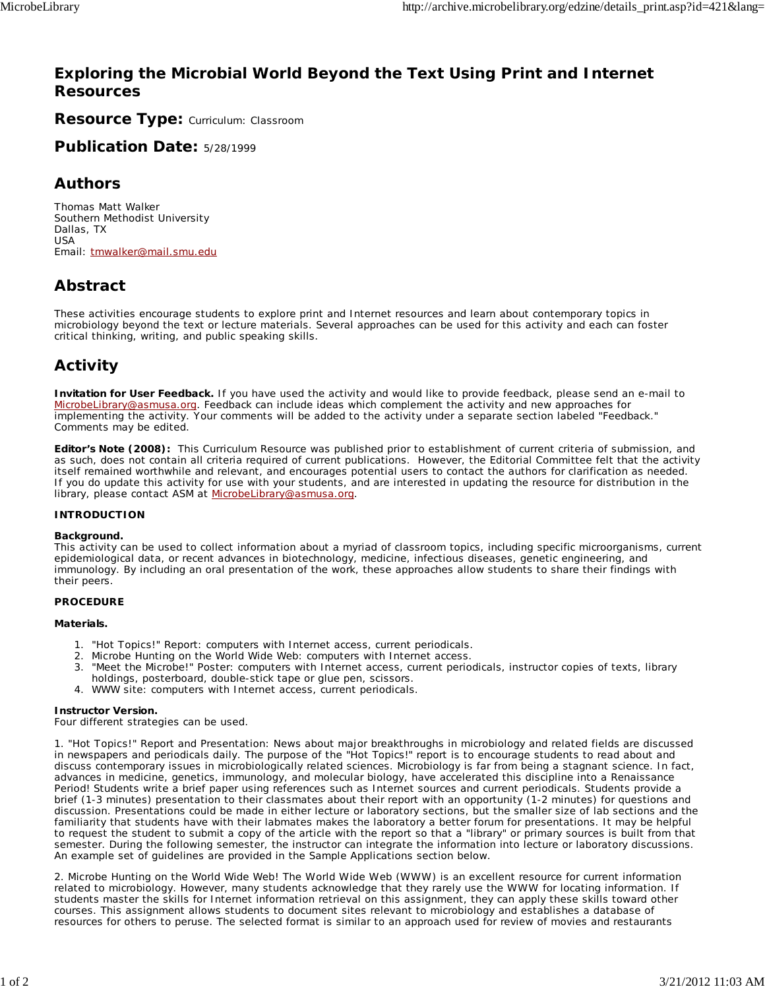### **Exploring the Microbial World Beyond the Text Using Print and Internet Resources**

**Resource Type: Curriculum: Classroom** 

**Publication Date:** 5/28/1999

### **Authors**

*Thomas Matt Walker* Southern Methodist University Dallas, TX USA Email: tmwalker@mail.smu.edu

## **Abstract**

These activities encourage students to explore print and Internet resources and learn about contemporary topics in microbiology beyond the text or lecture materials. Several approaches can be used for this activity and each can foster critical thinking, writing, and public speaking skills.

## **Activity**

**Invitation for User Feedback.** If you have used the activity and would like to provide feedback, please send an e-mail to MicrobeLibrary@asmusa.org. Feedback can include ideas which complement the activity and new approaches for implementing the activity. Your comments will be added to the activity under a separate section labeled "Feedback." Comments may be edited.

**Editor's Note (2008):** This Curriculum Resource was published prior to establishment of current criteria of submission, and as such, does not contain all criteria required of current publications. However, the Editorial Committee felt that the activity itself remained worthwhile and relevant, and encourages potential users to contact the authors for clarification as needed. If you do update this activity for use with your students, and are interested in updating the resource for distribution in the library, please contact ASM at MicrobeLibrary@asmusa.org.

#### **INTRODUCTION**

#### **Background.**

This activity can be used to collect information about a myriad of classroom topics, including specific microorganisms, current epidemiological data, or recent advances in biotechnology, medicine, infectious diseases, genetic engineering, and immunology. By including an oral presentation of the work, these approaches allow students to share their findings with their peers.

#### **PROCEDURE**

#### **Materials.**

- 1. *"Hot Topics!" Report*: computers with Internet access, current periodicals.
- 2. *Microbe Hunting on the World Wide Web*: computers with Internet access.
- *"Meet the Microbe!" Poster*: computers with Internet access, current periodicals, instructor copies of texts, library 3. holdings, posterboard, double-stick tape or glue pen, scissors.
- 4. *WWW site*: computers with Internet access, current periodicals.

#### **Instructor Version.**

Four different strategies can be used.

*1. "Hot Topics!" Report and Presentation:* News about major breakthroughs in microbiology and related fields are discussed in newspapers and periodicals daily. The purpose of the "Hot Topics!" report is to encourage students to read about and discuss contemporary issues in microbiologically related sciences. Microbiology is far from being a stagnant science. In fact, advances in medicine, genetics, immunology, and molecular biology, have accelerated this discipline into a Renaissance Period! Students write a brief paper using references such as Internet sources and current periodicals. Students provide a brief (1-3 minutes) presentation to their classmates about their report with an opportunity (1-2 minutes) for questions and discussion. Presentations could be made in either lecture or laboratory sections, but the smaller size of lab sections and the familiarity that students have with their labmates makes the laboratory a better forum for presentations. It may be helpful to request the student to submit a copy of the article with the report so that a "library" or primary sources is built from that semester. During the following semester, the instructor can integrate the information into lecture or laboratory discussions. An example set of guidelines are provided in the Sample Applications section below.

*2. Microbe Hunting on the World Wide Web!* The World Wide Web (WWW) is an excellent resource for current information related to microbiology. However, many students acknowledge that they rarely use the WWW for locating information. If students master the skills for Internet information retrieval on this assignment, they can apply these skills toward other courses. This assignment allows students to document sites relevant to microbiology and establishes a database of resources for others to peruse. The selected format is similar to an approach used for review of movies and restaurants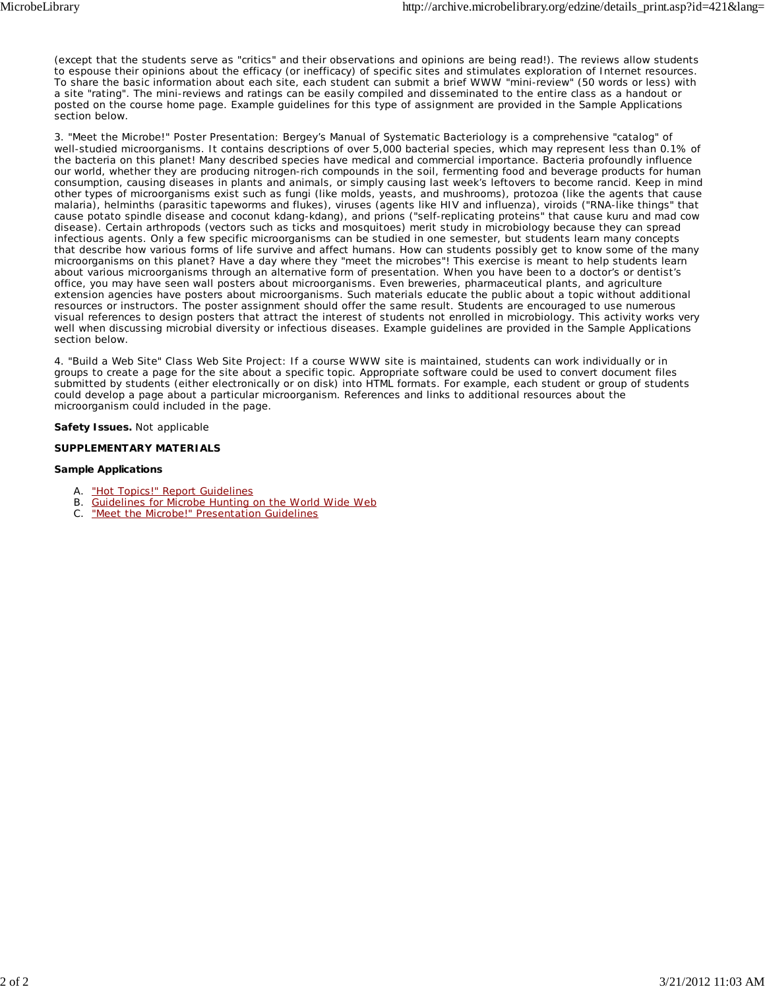(except that the students serve as "critics" and *their* observations and opinions are being read!). The reviews allow students to espouse their opinions about the efficacy (or inefficacy) of specific sites and stimulates exploration of Internet resources. To share the basic information about each site, each student can submit a *brief* WWW "mini-review" (50 words or less) with a site "rating". The mini-reviews and ratings can be easily compiled and disseminated to the entire class as a handout or posted on the course home page. Example guidelines for this type of assignment are provided in the Sample Applications section below.

*3. "Meet the Microbe!" Poster Presentation:* Bergey's Manual of Systematic Bacteriology is a comprehensive "catalog" of well-studied microorganisms. It contains descriptions of over 5,000 bacterial species, which may represent less than 0.1% of the bacteria on this planet! Many described species have medical and commercial importance. Bacteria profoundly influence our world, whether they are producing nitrogen-rich compounds in the soil, fermenting food and beverage products for human consumption, causing diseases in plants and animals, or simply causing last week's leftovers to become rancid. Keep in mind other types of microorganisms exist such as fungi (like molds, yeasts, and mushrooms), protozoa (like the agents that cause malaria), helminths (parasitic tapeworms and flukes), viruses (agents like HIV and influenza), viroids ("RNA-like things" that cause potato spindle disease and coconut kdang-kdang), and prions ("self-replicating proteins" that cause kuru and mad cow disease). Certain arthropods (vectors such as ticks and mosquitoes) merit study in microbiology because they can spread infectious agents. Only a few specific microorganisms can be studied in one semester, but students learn many concepts that describe how various forms of life survive and affect humans. How can students possibly get to know some of the many microorganisms on this planet? Have a day where they "meet the microbes"! This exercise is meant to help students learn about various microorganisms through an alternative form of presentation. When you have been to a doctor's or dentist's office, you may have seen wall posters about microorganisms. Even breweries, pharmaceutical plants, and agriculture extension agencies have posters about microorganisms. Such materials educate the public about a topic without additional resources or instructors. The poster assignment should offer the same result. Students are encouraged to use numerous visual references to design posters that attract the interest of students not enrolled in microbiology. This activity works very well when discussing microbial diversity or infectious diseases. Example guidelines are provided in the Sample Applications section below.

*4. "Build a Web Site" Class Web Site Project:* If a course WWW site is maintained, students can work individually or in groups to create a page for the site about a specific topic. Appropriate software could be used to convert document files submitted by students (either electronically or on disk) into HTML formats. For example, each student or group of students could develop a page about a particular microorganism. References and links to additional resources about the microorganism could included in the page.

#### **Safety Issues.** Not applicable

#### **SUPPLEMENTARY MATERIALS**

#### **Sample Applications**

- A. "Hot Topics!" Report Guidelines
- B. Guidelines for Microbe Hunting on the World Wide Web
- C. "Meet the Microbe!" Presentation Guidelines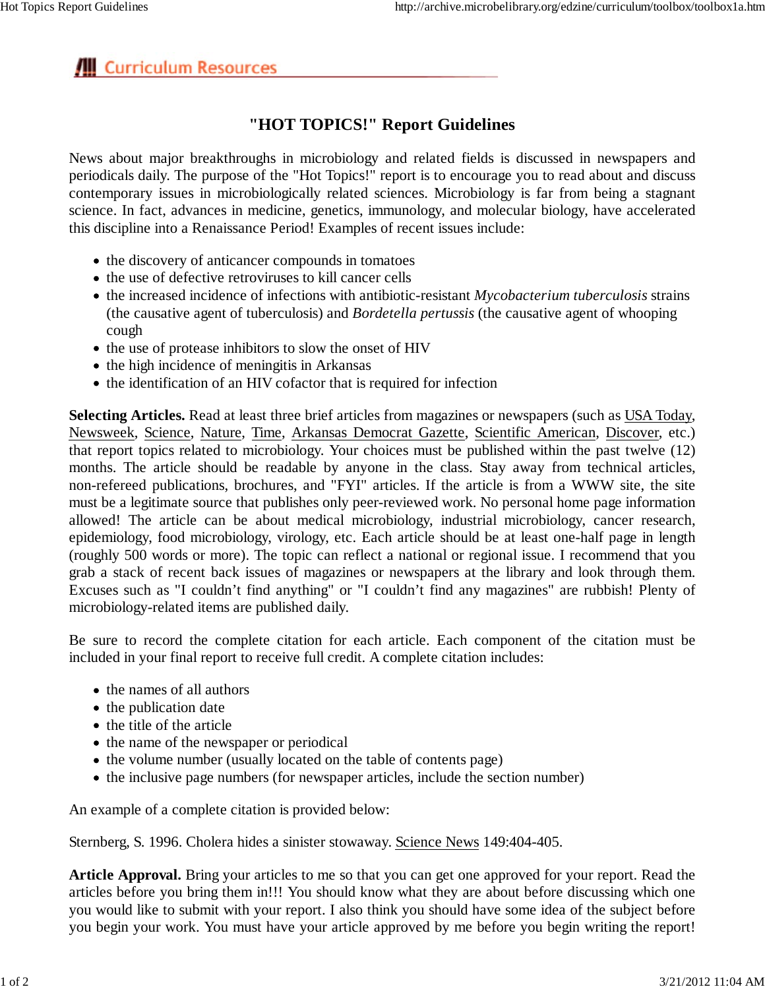# **III** Curriculum Resources

## **"HOT TOPICS!" Report Guidelines**

News about major breakthroughs in microbiology and related fields is discussed in newspapers and periodicals daily. The purpose of the "Hot Topics!" report is to encourage you to read about and discuss contemporary issues in microbiologically related sciences. Microbiology is far from being a stagnant science. In fact, advances in medicine, genetics, immunology, and molecular biology, have accelerated this discipline into a Renaissance Period! Examples of recent issues include:

- the discovery of anticancer compounds in tomatoes
- the use of defective retroviruses to kill cancer cells
- the increased incidence of infections with antibiotic-resistant *Mycobacterium tuberculosis* strains (the causative agent of tuberculosis) and *Bordetella pertussis* (the causative agent of whooping cough
- the use of protease inhibitors to slow the onset of HIV
- the high incidence of meningitis in Arkansas
- the identification of an HIV cofactor that is required for infection

**Selecting Articles.** Read at least three brief articles from magazines or newspapers (such as USA Today, Newsweek, Science, Nature, Time, Arkansas Democrat Gazette, Scientific American, Discover, etc.) that report topics related to microbiology. Your choices must be published within the past twelve (12) months. The article should be readable by anyone in the class. Stay away from technical articles, non-refereed publications, brochures, and "FYI" articles. If the article is from a WWW site, the site must be a legitimate source that publishes only peer-reviewed work. No personal home page information allowed! The article can be about medical microbiology, industrial microbiology, cancer research, epidemiology, food microbiology, virology, etc. Each article should be at least one-half page in length (roughly 500 words or more). The topic can reflect a national or regional issue. I recommend that you grab a stack of recent back issues of magazines or newspapers at the library and look through them. Excuses such as "I couldn't find anything" or "I couldn't find any magazines" are rubbish! Plenty of microbiology-related items are published daily.

Be sure to record the complete citation for each article. Each component of the citation must be included in your final report to receive full credit. A complete citation includes:

- the names of all authors
- the publication date
- the title of the article
- the name of the newspaper or periodical
- the volume number (usually located on the table of contents page)
- the inclusive page numbers (for newspaper articles, include the section number)

An example of a complete citation is provided below:

Sternberg, S. 1996. Cholera hides a sinister stowaway. Science News 149:404-405.

**Article Approval.** Bring your articles to me so that you can get one approved for your report. Read the articles before you bring them in!!! You should know what they are about before discussing which one you would like to submit with your report. I also think you should have some idea of the subject before you begin your work. You must have your article approved by me before you begin writing the report!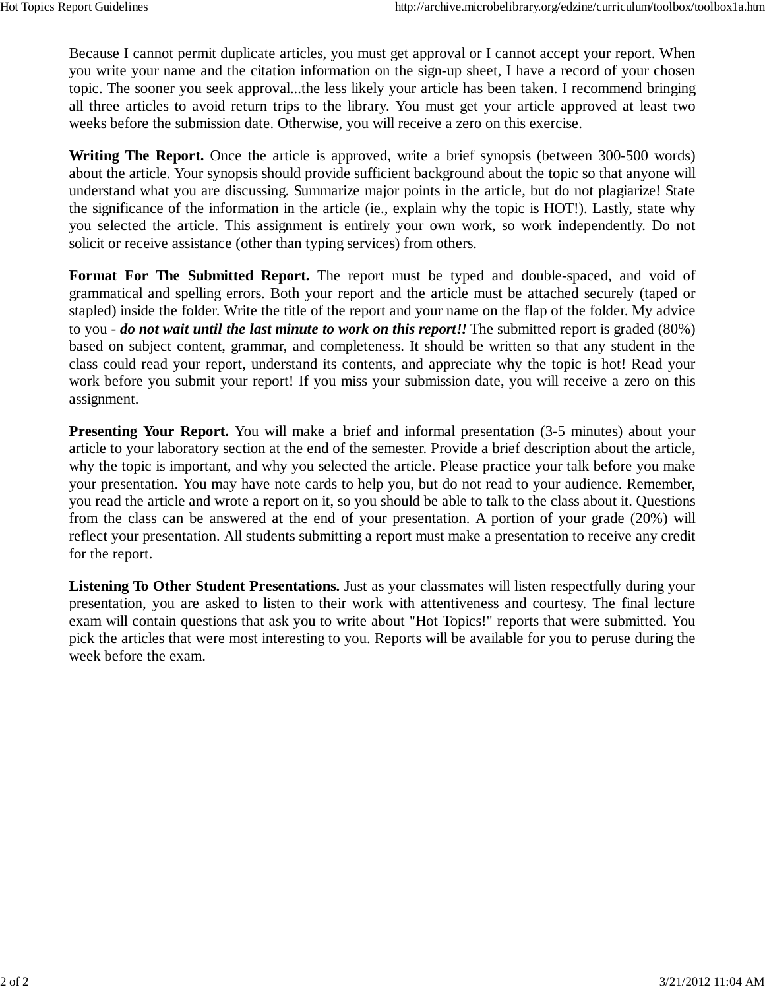Because I cannot permit duplicate articles, you must get approval or I cannot accept your report. When you write your name and the citation information on the sign-up sheet, I have a record of your chosen topic. The sooner you seek approval...the less likely your article has been taken. I recommend bringing all three articles to avoid return trips to the library. You must get your article approved at least two weeks before the submission date. Otherwise, you will receive a zero on this exercise.

**Writing The Report.** Once the article is approved, write a brief synopsis (between 300-500 words) about the article. Your synopsis should provide sufficient background about the topic so that anyone will understand what you are discussing. Summarize major points in the article, but do not plagiarize! State the significance of the information in the article (ie., explain why the topic is HOT!). Lastly, state why you selected the article. This assignment is entirely your own work, so work independently. Do not solicit or receive assistance (other than typing services) from others.

**Format For The Submitted Report.** The report must be typed and double-spaced, and void of grammatical and spelling errors. Both your report and the article must be attached securely (taped or stapled) inside the folder. Write the title of the report and your name on the flap of the folder. My advice to you - *do not wait until the last minute to work on this report!!* The submitted report is graded (80%) based on subject content, grammar, and completeness. It should be written so that any student in the class could read your report, understand its contents, and appreciate why the topic is hot! Read your work before you submit your report! If you miss your submission date, you will receive a zero on this assignment.

**Presenting Your Report.** You will make a brief and informal presentation (3-5 minutes) about your article to your laboratory section at the end of the semester. Provide a brief description about the article, why the topic is important, and why you selected the article. Please practice your talk before you make your presentation. You may have note cards to help you, but do not read to your audience. Remember, you read the article and wrote a report on it, so you should be able to talk to the class about it. Questions from the class can be answered at the end of your presentation. A portion of your grade (20%) will reflect your presentation. All students submitting a report must make a presentation to receive any credit for the report.

**Listening To Other Student Presentations.** Just as your classmates will listen respectfully during your presentation, you are asked to listen to their work with attentiveness and courtesy. The final lecture exam will contain questions that ask you to write about "Hot Topics!" reports that were submitted. You pick the articles that were most interesting to you. Reports will be available for you to peruse during the week before the exam.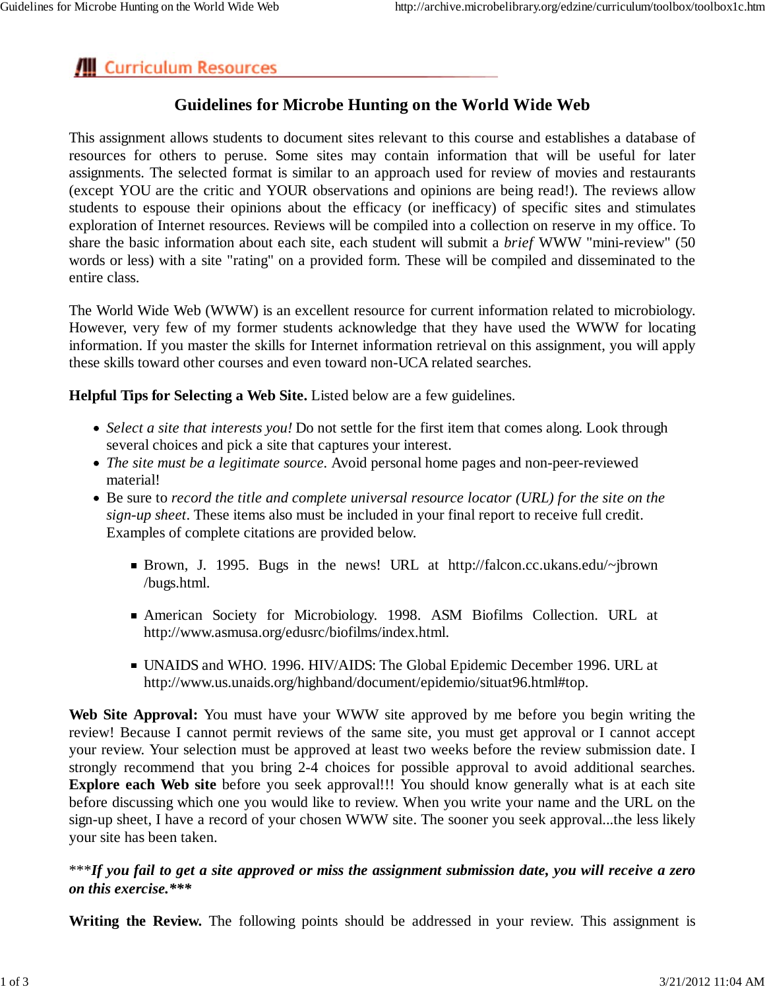# **III** Curriculum Resources

## **Guidelines for Microbe Hunting on the World Wide Web**

This assignment allows students to document sites relevant to this course and establishes a database of resources for others to peruse. Some sites may contain information that will be useful for later assignments. The selected format is similar to an approach used for review of movies and restaurants (except YOU are the critic and YOUR observations and opinions are being read!). The reviews allow students to espouse their opinions about the efficacy (or inefficacy) of specific sites and stimulates exploration of Internet resources. Reviews will be compiled into a collection on reserve in my office. To share the basic information about each site, each student will submit a *brief* WWW "mini-review" (50 words or less) with a site "rating" on a provided form. These will be compiled and disseminated to the entire class.

The World Wide Web (WWW) is an excellent resource for current information related to microbiology. However, very few of my former students acknowledge that they have used the WWW for locating information. If you master the skills for Internet information retrieval on this assignment, you will apply these skills toward other courses and even toward non-UCA related searches.

**Helpful Tips for Selecting a Web Site.** Listed below are a few guidelines.

- *Select a site that interests you!* Do not settle for the first item that comes along. Look through several choices and pick a site that captures your interest.
- *The site must be a legitimate source.* Avoid personal home pages and non-peer-reviewed material!
- Be sure to *record the title and complete universal resource locator (URL) for the site on the sign-up sheet*. These items also must be included in your final report to receive full credit. Examples of complete citations are provided below.
	- Brown, J. 1995. Bugs in the news! URL at http://falcon.cc.ukans.edu/~jbrown /bugs.html.
	- American Society for Microbiology. 1998. ASM Biofilms Collection. URL at http://www.asmusa.org/edusrc/biofilms/index.html.
	- UNAIDS and WHO. 1996. HIV/AIDS: The Global Epidemic December 1996. URL at http://www.us.unaids.org/highband/document/epidemio/situat96.html#top.

**Web Site Approval:** You must have your WWW site approved by me before you begin writing the review! Because I cannot permit reviews of the same site, you must get approval or I cannot accept your review. Your selection must be approved at least two weeks before the review submission date. I strongly recommend that you bring 2-4 choices for possible approval to avoid additional searches. **Explore each Web site** before you seek approval!!! You should know generally what is at each site before discussing which one you would like to review. When you write your name and the URL on the sign-up sheet, I have a record of your chosen WWW site. The sooner you seek approval...the less likely your site has been taken.

### \*\*\**If you fail to get a site approved or miss the assignment submission date, you will receive a zero on this exercise.\*\*\**

**Writing the Review.** The following points should be addressed in your review. This assignment is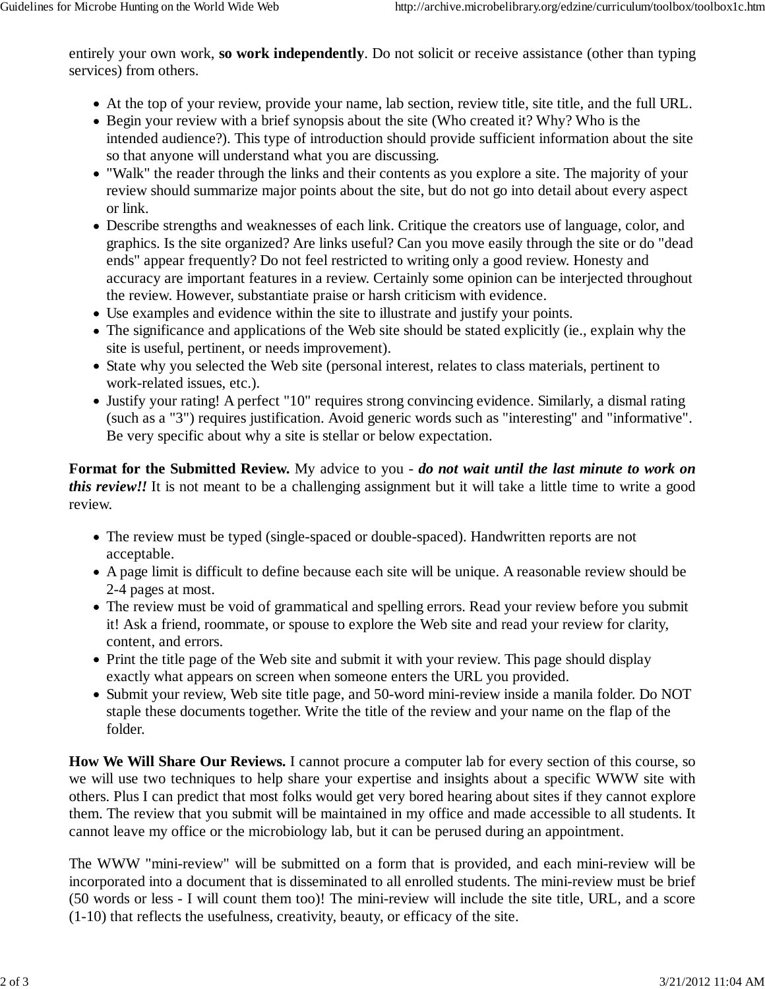entirely your own work, **so work independently**. Do not solicit or receive assistance (other than typing services) from others.

- At the top of your review, provide your name, lab section, review title, site title, and the full URL.
- Begin your review with a brief synopsis about the site (Who created it? Why? Who is the intended audience?). This type of introduction should provide sufficient information about the site so that anyone will understand what you are discussing.
- "Walk" the reader through the links and their contents as you explore a site. The majority of your review should summarize major points about the site, but do not go into detail about every aspect or link.
- Describe strengths and weaknesses of each link. Critique the creators use of language, color, and graphics. Is the site organized? Are links useful? Can you move easily through the site or do "dead ends" appear frequently? Do not feel restricted to writing only a good review. Honesty and accuracy are important features in a review. Certainly some opinion can be interjected throughout the review. However, substantiate praise or harsh criticism with evidence.
- Use examples and evidence within the site to illustrate and justify your points.
- The significance and applications of the Web site should be stated explicitly (ie., explain why the site is useful, pertinent, or needs improvement).
- State why you selected the Web site (personal interest, relates to class materials, pertinent to work-related issues, etc.).
- Justify your rating! A perfect "10" requires strong convincing evidence. Similarly, a dismal rating (such as a "3") requires justification. Avoid generic words such as "interesting" and "informative". Be very specific about why a site is stellar or below expectation.

**Format for the Submitted Review.** My advice to you - *do not wait until the last minute to work on this review!!* It is not meant to be a challenging assignment but it will take a little time to write a good review.

- The review must be typed (single-spaced or double-spaced). Handwritten reports are not acceptable.
- A page limit is difficult to define because each site will be unique. A reasonable review should be 2-4 pages at most.
- The review must be void of grammatical and spelling errors. Read your review before you submit it! Ask a friend, roommate, or spouse to explore the Web site and read your review for clarity, content, and errors.
- Print the title page of the Web site and submit it with your review. This page should display exactly what appears on screen when someone enters the URL you provided.
- Submit your review, Web site title page, and 50-word mini-review inside a manila folder. Do NOT staple these documents together. Write the title of the review and your name on the flap of the folder.

**How We Will Share Our Reviews.** I cannot procure a computer lab for every section of this course, so we will use two techniques to help share your expertise and insights about a specific WWW site with others. Plus I can predict that most folks would get very bored hearing about sites if they cannot explore them. The review that you submit will be maintained in my office and made accessible to all students. It cannot leave my office or the microbiology lab, but it can be perused during an appointment.

The WWW "mini-review" will be submitted on a form that is provided, and each mini-review will be incorporated into a document that is disseminated to all enrolled students. The mini-review must be brief (50 words or less - I will count them too)! The mini-review will include the site title, URL, and a score (1-10) that reflects the usefulness, creativity, beauty, or efficacy of the site.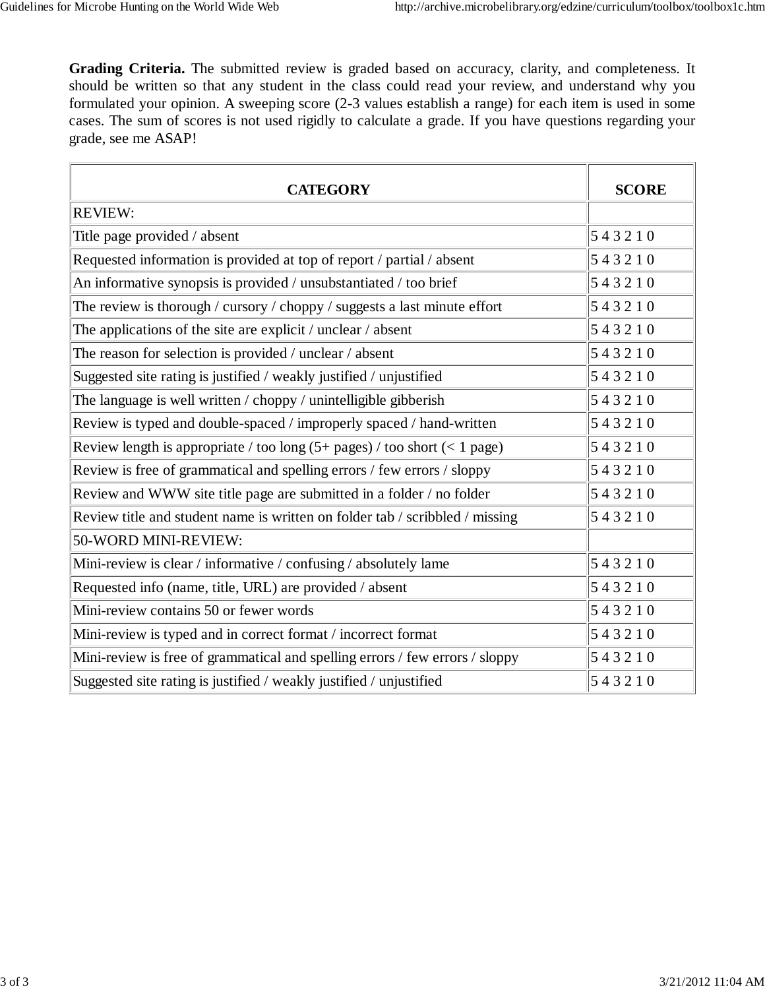**Grading Criteria.** The submitted review is graded based on accuracy, clarity, and completeness. It should be written so that any student in the class could read your review, and understand why you formulated your opinion. A sweeping score (2-3 values establish a range) for each item is used in some cases. The sum of scores is not used rigidly to calculate a grade. If you have questions regarding your grade, see me ASAP!

| <b>CATEGORY</b>                                                                | <b>SCORE</b> |
|--------------------------------------------------------------------------------|--------------|
| <b>REVIEW:</b>                                                                 |              |
| Title page provided / absent                                                   | 543210       |
| Requested information is provided at top of report / partial / absent          | 543210       |
| An informative synopsis is provided / unsubstantiated / too brief              | 543210       |
| The review is thorough / cursory / choppy / suggests a last minute effort      | 543210       |
| The applications of the site are explicit / unclear / absent                   | 543210       |
| The reason for selection is provided / unclear / absent                        | 543210       |
| Suggested site rating is justified / weakly justified / unjustified            | 543210       |
| The language is well written / choppy / unintelligible gibberish               | 543210       |
| Review is typed and double-spaced / improperly spaced / hand-written           | 543210       |
| Review length is appropriate / too long $(5+)$ pages) / too short $(< 1$ page) | 543210       |
| Review is free of grammatical and spelling errors / few errors / sloppy        | 543210       |
| Review and WWW site title page are submitted in a folder / no folder           | 543210       |
| Review title and student name is written on folder tab / scribbled / missing   | 543210       |
| 50-WORD MINI-REVIEW:                                                           |              |
| Mini-review is clear / informative / confusing / absolutely lame               | 543210       |
| Requested info (name, title, URL) are provided / absent                        | 543210       |
| Mini-review contains 50 or fewer words                                         | 543210       |
| Mini-review is typed and in correct format / incorrect format                  | 543210       |
| Mini-review is free of grammatical and spelling errors / few errors / sloppy   | 543210       |
| Suggested site rating is justified / weakly justified / unjustified            | 543210       |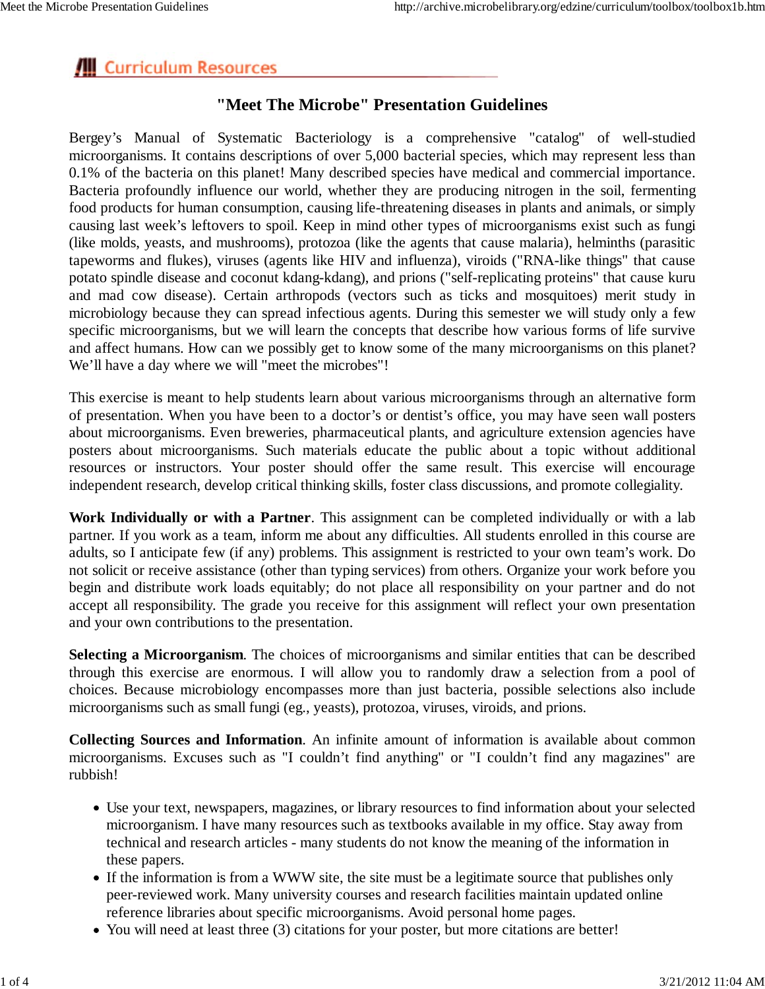# **III** Curriculum Resources

### **"Meet The Microbe" Presentation Guidelines**

Bergey's Manual of Systematic Bacteriology is a comprehensive "catalog" of well-studied microorganisms. It contains descriptions of over 5,000 bacterial species, which may represent less than 0.1% of the bacteria on this planet! Many described species have medical and commercial importance. Bacteria profoundly influence our world, whether they are producing nitrogen in the soil, fermenting food products for human consumption, causing life-threatening diseases in plants and animals, or simply causing last week's leftovers to spoil. Keep in mind other types of microorganisms exist such as fungi (like molds, yeasts, and mushrooms), protozoa (like the agents that cause malaria), helminths (parasitic tapeworms and flukes), viruses (agents like HIV and influenza), viroids ("RNA-like things" that cause potato spindle disease and coconut kdang-kdang), and prions ("self-replicating proteins" that cause kuru and mad cow disease). Certain arthropods (vectors such as ticks and mosquitoes) merit study in microbiology because they can spread infectious agents. During this semester we will study only a few specific microorganisms, but we will learn the concepts that describe how various forms of life survive and affect humans. How can we possibly get to know some of the many microorganisms on this planet? We'll have a day where we will "meet the microbes"!

This exercise is meant to help students learn about various microorganisms through an alternative form of presentation. When you have been to a doctor's or dentist's office, you may have seen wall posters about microorganisms. Even breweries, pharmaceutical plants, and agriculture extension agencies have posters about microorganisms. Such materials educate the public about a topic without additional resources or instructors. Your poster should offer the same result. This exercise will encourage independent research, develop critical thinking skills, foster class discussions, and promote collegiality.

**Work Individually or with a Partner**. This assignment can be completed individually or with a lab partner. If you work as a team, inform me about any difficulties. All students enrolled in this course are adults, so I anticipate few (if any) problems. This assignment is restricted to your own team's work. Do not solicit or receive assistance (other than typing services) from others. Organize your work before you begin and distribute work loads equitably; do not place all responsibility on your partner and do not accept all responsibility. The grade you receive for this assignment will reflect your own presentation and your own contributions to the presentation.

**Selecting a Microorganism**. The choices of microorganisms and similar entities that can be described through this exercise are enormous. I will allow you to randomly draw a selection from a pool of choices. Because microbiology encompasses more than just bacteria, possible selections also include microorganisms such as small fungi (eg., yeasts), protozoa, viruses, viroids, and prions.

**Collecting Sources and Information**. An infinite amount of information is available about common microorganisms. Excuses such as "I couldn't find anything" or "I couldn't find any magazines" are rubbish!

- Use your text, newspapers, magazines, or library resources to find information about your selected microorganism. I have many resources such as textbooks available in my office. Stay away from technical and research articles - many students do not know the meaning of the information in these papers.
- If the information is from a WWW site, the site must be a legitimate source that publishes only peer-reviewed work. Many university courses and research facilities maintain updated online reference libraries about specific microorganisms. Avoid personal home pages.
- You will need at least three (3) citations for your poster, but more citations are better!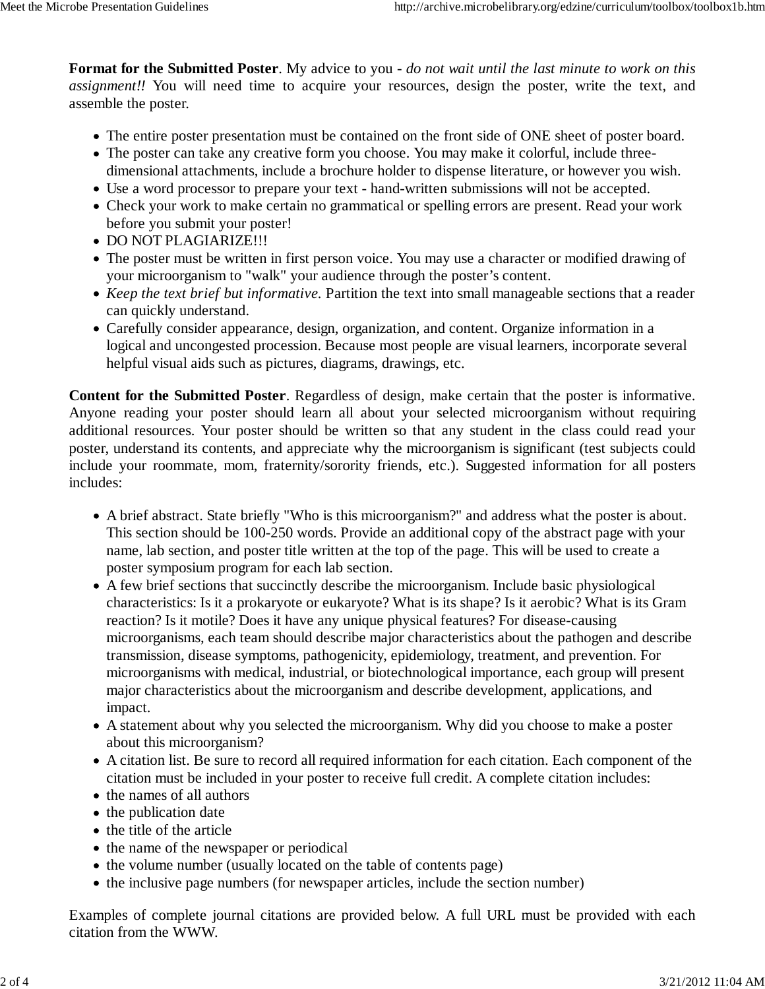**Format for the Submitted Poster**. My advice to you - *do not wait until the last minute to work on this assignment!!* You will need time to acquire your resources, design the poster, write the text, and assemble the poster.

- The entire poster presentation must be contained on the front side of ONE sheet of poster board.
- The poster can take any creative form you choose. You may make it colorful, include threedimensional attachments, include a brochure holder to dispense literature, or however you wish.
- Use a word processor to prepare your text hand-written submissions will not be accepted.
- Check your work to make certain no grammatical or spelling errors are present. Read your work before you submit your poster!
- DO NOT PLAGIARIZE!!!
- The poster must be written in first person voice. You may use a character or modified drawing of your microorganism to "walk" your audience through the poster's content.
- *Keep the text brief but informative.* Partition the text into small manageable sections that a reader can quickly understand.
- Carefully consider appearance, design, organization, and content. Organize information in a logical and uncongested procession. Because most people are visual learners, incorporate several helpful visual aids such as pictures, diagrams, drawings, etc.

**Content for the Submitted Poster**. Regardless of design, make certain that the poster is informative. Anyone reading your poster should learn all about your selected microorganism without requiring additional resources. Your poster should be written so that any student in the class could read your poster, understand its contents, and appreciate why the microorganism is significant (test subjects could include your roommate, mom, fraternity/sorority friends, etc.). Suggested information for all posters includes:

- A brief abstract. State briefly "Who is this microorganism?" and address what the poster is about. This section should be 100-250 words. Provide an additional copy of the abstract page with your name, lab section, and poster title written at the top of the page. This will be used to create a poster symposium program for each lab section.
- A few brief sections that succinctly describe the microorganism. Include basic physiological characteristics: Is it a prokaryote or eukaryote? What is its shape? Is it aerobic? What is its Gram reaction? Is it motile? Does it have any unique physical features? For disease-causing microorganisms, each team should describe major characteristics about the pathogen and describe transmission, disease symptoms, pathogenicity, epidemiology, treatment, and prevention. For microorganisms with medical, industrial, or biotechnological importance, each group will present major characteristics about the microorganism and describe development, applications, and impact.
- A statement about why you selected the microorganism. Why did you choose to make a poster about this microorganism?
- A citation list. Be sure to record all required information for each citation. Each component of the citation must be included in your poster to receive full credit. A complete citation includes:
- the names of all authors
- the publication date
- the title of the article
- the name of the newspaper or periodical
- the volume number (usually located on the table of contents page)
- the inclusive page numbers (for newspaper articles, include the section number)

Examples of complete journal citations are provided below. A full URL must be provided with each citation from the WWW.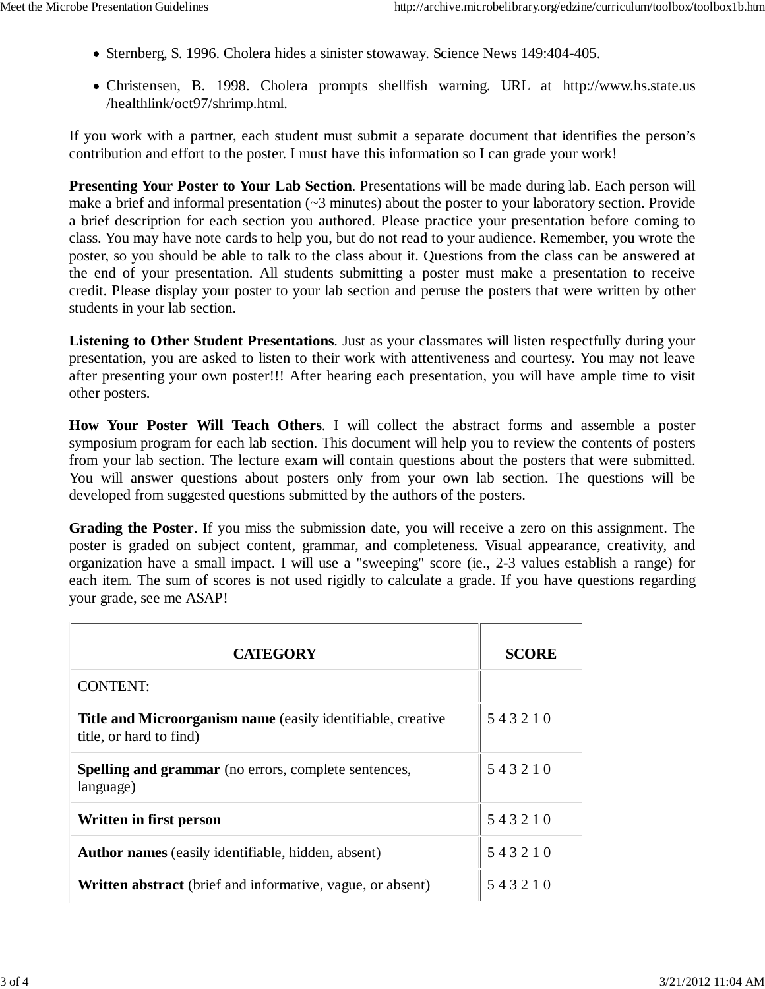- Sternberg, S. 1996. Cholera hides a sinister stowaway. Science News 149:404-405.
- Christensen, B. 1998. Cholera prompts shellfish warning. URL at http://www.hs.state.us /healthlink/oct97/shrimp.html.

If you work with a partner, each student must submit a separate document that identifies the person's contribution and effort to the poster. I must have this information so I can grade your work!

**Presenting Your Poster to Your Lab Section**. Presentations will be made during lab. Each person will make a brief and informal presentation (~3 minutes) about the poster to your laboratory section. Provide a brief description for each section you authored. Please practice your presentation before coming to class. You may have note cards to help you, but do not read to your audience. Remember, you wrote the poster, so you should be able to talk to the class about it. Questions from the class can be answered at the end of your presentation. All students submitting a poster must make a presentation to receive credit. Please display your poster to your lab section and peruse the posters that were written by other students in your lab section.

**Listening to Other Student Presentations**. Just as your classmates will listen respectfully during your presentation, you are asked to listen to their work with attentiveness and courtesy. You may not leave after presenting your own poster!!! After hearing each presentation, you will have ample time to visit other posters.

**How Your Poster Will Teach Others**. I will collect the abstract forms and assemble a poster symposium program for each lab section. This document will help you to review the contents of posters from your lab section. The lecture exam will contain questions about the posters that were submitted. You will answer questions about posters only from your own lab section. The questions will be developed from suggested questions submitted by the authors of the posters.

**Grading the Poster**. If you miss the submission date, you will receive a zero on this assignment. The poster is graded on subject content, grammar, and completeness. Visual appearance, creativity, and organization have a small impact. I will use a "sweeping" score (ie., 2-3 values establish a range) for each item. The sum of scores is not used rigidly to calculate a grade. If you have questions regarding your grade, see me ASAP!

| <b>CATEGORY</b>                                                                               | <b>SCORE</b> |
|-----------------------------------------------------------------------------------------------|--------------|
| <b>CONTENT:</b>                                                                               |              |
| <b>Title and Microorganism name</b> (easily identifiable, creative<br>title, or hard to find) | 543210       |
| <b>Spelling and grammar</b> (no errors, complete sentences,<br>language)                      | 543210       |
| Written in first person                                                                       | 543210       |
| <b>Author names</b> (easily identifiable, hidden, absent)                                     | 543210       |
| <b>Written abstract</b> (brief and informative, vague, or absent)                             | 543210       |